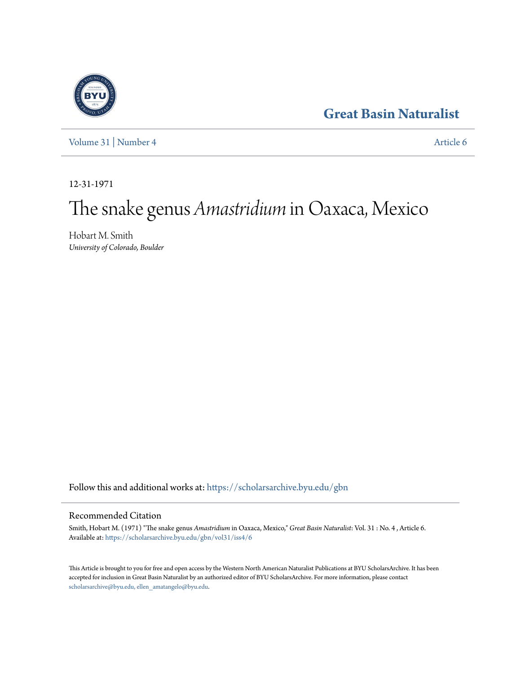# **[Great Basin Naturalist](https://scholarsarchive.byu.edu/gbn?utm_source=scholarsarchive.byu.edu%2Fgbn%2Fvol31%2Fiss4%2F6&utm_medium=PDF&utm_campaign=PDFCoverPages)**



[Volume 31](https://scholarsarchive.byu.edu/gbn/vol31?utm_source=scholarsarchive.byu.edu%2Fgbn%2Fvol31%2Fiss4%2F6&utm_medium=PDF&utm_campaign=PDFCoverPages) | [Number 4](https://scholarsarchive.byu.edu/gbn/vol31/iss4?utm_source=scholarsarchive.byu.edu%2Fgbn%2Fvol31%2Fiss4%2F6&utm_medium=PDF&utm_campaign=PDFCoverPages) [Article 6](https://scholarsarchive.byu.edu/gbn/vol31/iss4/6?utm_source=scholarsarchive.byu.edu%2Fgbn%2Fvol31%2Fiss4%2F6&utm_medium=PDF&utm_campaign=PDFCoverPages)

12-31-1971

# The snake genus *Amastridium* in Oaxaca, Mexico

Hobart M. Smith *University of Colorado, Boulder*

Follow this and additional works at: [https://scholarsarchive.byu.edu/gbn](https://scholarsarchive.byu.edu/gbn?utm_source=scholarsarchive.byu.edu%2Fgbn%2Fvol31%2Fiss4%2F6&utm_medium=PDF&utm_campaign=PDFCoverPages)

## Recommended Citation

Smith, Hobart M. (1971) "The snake genus *Amastridium* in Oaxaca, Mexico," *Great Basin Naturalist*: Vol. 31 : No. 4 , Article 6. Available at: [https://scholarsarchive.byu.edu/gbn/vol31/iss4/6](https://scholarsarchive.byu.edu/gbn/vol31/iss4/6?utm_source=scholarsarchive.byu.edu%2Fgbn%2Fvol31%2Fiss4%2F6&utm_medium=PDF&utm_campaign=PDFCoverPages)

This Article is brought to you for free and open access by the Western North American Naturalist Publications at BYU ScholarsArchive. It has been accepted for inclusion in Great Basin Naturalist by an authorized editor of BYU ScholarsArchive. For more information, please contact [scholarsarchive@byu.edu, ellen\\_amatangelo@byu.edu.](mailto:scholarsarchive@byu.edu,%20ellen_amatangelo@byu.edu)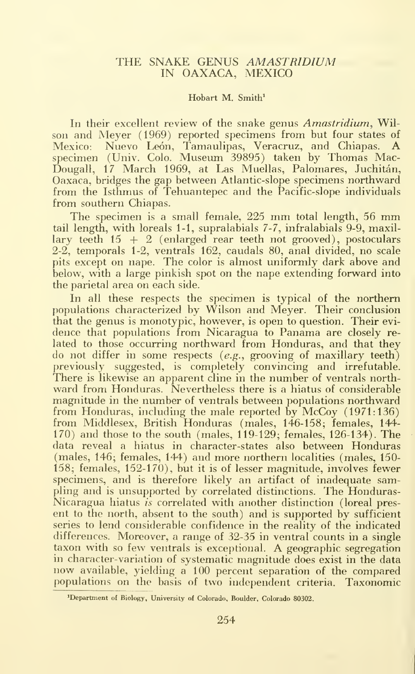### THE SNAKE GENUS AMASTRIDIUM IN OAXACA, MEXICO

#### Hobart M. Smith<sup>1</sup>

In their excellent review of the snake genus Amastridium, Wilson and Meyer (1969) reported specimens from but four states of Mexico: Nuevo Leon, Tamaulipas, Veracruz, and Chiapas. A specimen (Univ. Colo. Museum 39895) taken by Thomas Mac-Dougall, 17 March 1969, at Las Muellas, Palomares, Juchitán, Oaxaca, bridges the gap between Atlantic-slope specimens northward from the Isthmus of Tehuantepec and the Pacific-slope individuals from southern Chiapas.

The specimen is <sup>a</sup> small female, <sup>225</sup> mm total length, <sup>56</sup> mm tail length, with loreals 1-1, supralabials 7-7, infralabials 9-9, maxillary teeth  $15 + 2$  (enlarged rear teeth not grooved), postoculars 2-2, temporals 1-2, ventrals 162, caudals 80, anal divided, no scale pits except on nape. The color is almost uniformly dark above and below, with a large pinkish spot on the nape extending forward into the parietal area on each side.

In all these respects the specimen is typical of the northern populations characterized by Wilson and Meyer. Their conclusion that the genus is monotypic, however, is open to question. Their evi dence that populations from Nicaragua to Panama are closely re lated to those occurring northward from Honduras, and that they do not differ in some respects  $(e.g.,\text{ growing of maximum})$ previously suggested, is completely convincing and irrefutable. There is likewise an apparent cline in the number of ventrals northward from Honduras. Nevertheless there is a hiatus of considerable magnitude in the number of ventrals between populations northward from Honduras, including the male reported by McCoy (1971:136) from Middlesex, British Honduras (males, 146-158; females, 144- 170) and those to the south (males, 119-129; females, 126-134). The data reveal a hiatus in character-states also between Honduras (males, 146; females, 144) and more northern localities (males, 150- 158; females, 152-170), but it is of lesser magnitude, involves fewer specimens, and is therefore likely an artifact of inadequate sampling and is unsupported by correlated distinctions. The Honduras-Nicaragua hiatus is correlated with another distinction (loreal pres ent to the north, absent to the south) and is supported by sufficient series to lend considerable confidence in the reality of the indicated differences. Moreover, a range of 32-35 in ventral counts in a single taxon with so few ventrals is exceptional. A geographic segregation in character-variation of systematic magnitude does exist in the data now available, yielding <sup>a</sup> 100 percent separation of the compared populations on the basis of two independent criteria. Taxonomic

<sup>&</sup>lt;sup>1</sup>Department of Biology, University of Colorado, Boulder, Colorado 80302.